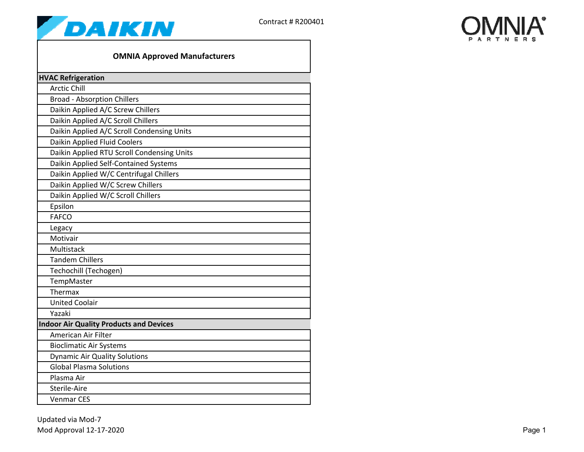



## **OMNIA Approved Manufacturers**

| <b>HVAC Refrigeration</b>                      |  |  |
|------------------------------------------------|--|--|
| <b>Arctic Chill</b>                            |  |  |
| <b>Broad - Absorption Chillers</b>             |  |  |
| Daikin Applied A/C Screw Chillers              |  |  |
| Daikin Applied A/C Scroll Chillers             |  |  |
| Daikin Applied A/C Scroll Condensing Units     |  |  |
| Daikin Applied Fluid Coolers                   |  |  |
| Daikin Applied RTU Scroll Condensing Units     |  |  |
| Daikin Applied Self-Contained Systems          |  |  |
| Daikin Applied W/C Centrifugal Chillers        |  |  |
| Daikin Applied W/C Screw Chillers              |  |  |
| Daikin Applied W/C Scroll Chillers             |  |  |
| Epsilon                                        |  |  |
| <b>FAFCO</b>                                   |  |  |
| Legacy                                         |  |  |
| Motivair                                       |  |  |
| Multistack                                     |  |  |
| <b>Tandem Chillers</b>                         |  |  |
| Techochill (Techogen)                          |  |  |
| TempMaster                                     |  |  |
| Thermax                                        |  |  |
| <b>United Coolair</b>                          |  |  |
| Yazaki                                         |  |  |
| <b>Indoor Air Quality Products and Devices</b> |  |  |
| <b>American Air Filter</b>                     |  |  |
| <b>Bioclimatic Air Systems</b>                 |  |  |
| <b>Dynamic Air Quality Solutions</b>           |  |  |
| <b>Global Plasma Solutions</b>                 |  |  |
| Plasma Air                                     |  |  |
| Sterile-Aire                                   |  |  |
| <b>Venmar CES</b>                              |  |  |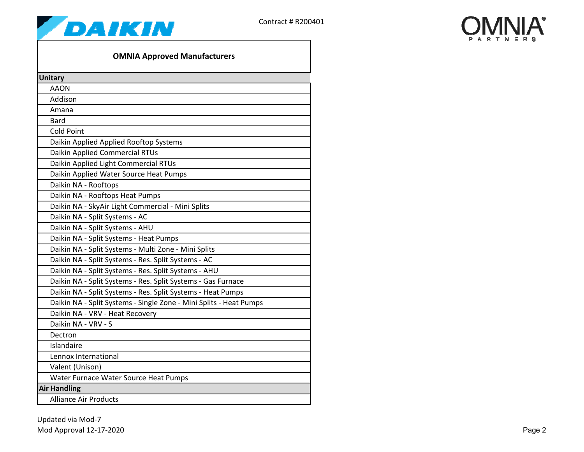



## **OMNIA Approved Manufacturers**

| <b>Unitary</b>                                                     |  |
|--------------------------------------------------------------------|--|
| <b>AAON</b>                                                        |  |
| Addison                                                            |  |
| Amana                                                              |  |
| <b>Bard</b>                                                        |  |
| <b>Cold Point</b>                                                  |  |
| Daikin Applied Applied Rooftop Systems                             |  |
| Daikin Applied Commercial RTUs                                     |  |
| Daikin Applied Light Commercial RTUs                               |  |
| Daikin Applied Water Source Heat Pumps                             |  |
| Daikin NA - Rooftops                                               |  |
| Daikin NA - Rooftops Heat Pumps                                    |  |
| Daikin NA - SkyAir Light Commercial - Mini Splits                  |  |
| Daikin NA - Split Systems - AC                                     |  |
| Daikin NA - Split Systems - AHU                                    |  |
| Daikin NA - Split Systems - Heat Pumps                             |  |
| Daikin NA - Split Systems - Multi Zone - Mini Splits               |  |
| Daikin NA - Split Systems - Res. Split Systems - AC                |  |
| Daikin NA - Split Systems - Res. Split Systems - AHU               |  |
| Daikin NA - Split Systems - Res. Split Systems - Gas Furnace       |  |
| Daikin NA - Split Systems - Res. Split Systems - Heat Pumps        |  |
| Daikin NA - Split Systems - Single Zone - Mini Splits - Heat Pumps |  |
| Daikin NA - VRV - Heat Recovery                                    |  |
| Daikin NA - VRV - S                                                |  |
| Dectron                                                            |  |
| Islandaire                                                         |  |
| Lennox International                                               |  |
| Valent (Unison)                                                    |  |
| Water Furnace Water Source Heat Pumps                              |  |
| <b>Air Handling</b>                                                |  |
| <b>Alliance Air Products</b>                                       |  |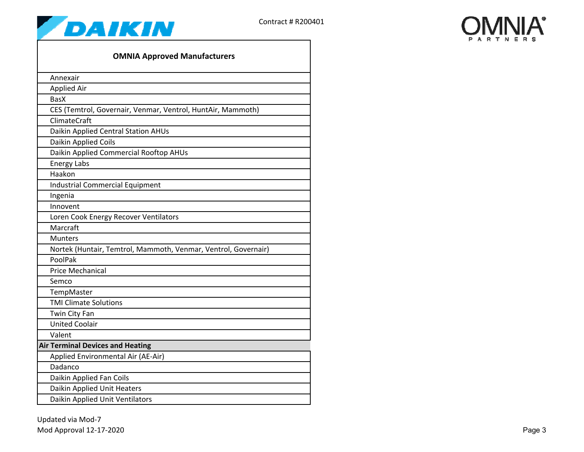



| <b>OMNIA Approved Manufacturers</b>                            |  |  |
|----------------------------------------------------------------|--|--|
| Annexair                                                       |  |  |
| Applied Air                                                    |  |  |
| <b>BasX</b>                                                    |  |  |
| CES (Temtrol, Governair, Venmar, Ventrol, HuntAir, Mammoth)    |  |  |
| <b>ClimateCraft</b>                                            |  |  |
| Daikin Applied Central Station AHUs                            |  |  |
| Daikin Applied Coils                                           |  |  |
| Daikin Applied Commercial Rooftop AHUs                         |  |  |
| <b>Energy Labs</b>                                             |  |  |
| Haakon                                                         |  |  |
| <b>Industrial Commercial Equipment</b>                         |  |  |
| Ingenia                                                        |  |  |
| Innovent                                                       |  |  |
| Loren Cook Energy Recover Ventilators                          |  |  |
| Marcraft                                                       |  |  |
| <b>Munters</b>                                                 |  |  |
| Nortek (Huntair, Temtrol, Mammoth, Venmar, Ventrol, Governair) |  |  |
| PoolPak                                                        |  |  |
| <b>Price Mechanical</b>                                        |  |  |
| Semco                                                          |  |  |
| TempMaster                                                     |  |  |
| <b>TMI Climate Solutions</b>                                   |  |  |
| Twin City Fan                                                  |  |  |
| <b>United Coolair</b>                                          |  |  |
| Valent                                                         |  |  |
| <b>Air Terminal Devices and Heating</b>                        |  |  |
| Applied Environmental Air (AE-Air)                             |  |  |
| Dadanco                                                        |  |  |
| Daikin Applied Fan Coils                                       |  |  |
| Daikin Applied Unit Heaters                                    |  |  |
| Daikin Applied Unit Ventilators                                |  |  |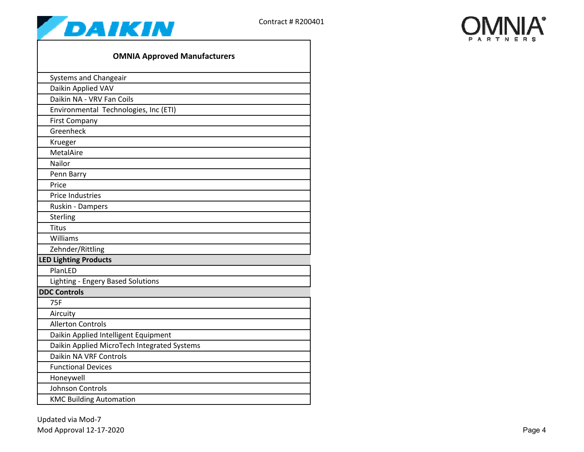



| <b>OMNIA Approved Manufacturers</b>         |
|---------------------------------------------|
| Systems and Changeair                       |
| Daikin Applied VAV                          |
| Daikin NA - VRV Fan Coils                   |
| Environmental Technologies, Inc (ETI)       |
| <b>First Company</b>                        |
| Greenheck                                   |
| Krueger                                     |
| MetalAire                                   |
| Nailor                                      |
| Penn Barry                                  |
| Price                                       |
| <b>Price Industries</b>                     |
| Ruskin - Dampers                            |
| Sterling                                    |
| <b>Titus</b>                                |
| Williams                                    |
| Zehnder/Rittling                            |
| <b>LED Lighting Products</b>                |
| PlanLED                                     |
| Lighting - Engery Based Solutions           |
| <b>DDC Controls</b>                         |
| 75F                                         |
| Aircuity                                    |
| <b>Allerton Controls</b>                    |
| Daikin Applied Intelligent Equipment        |
| Daikin Applied MicroTech Integrated Systems |
| Daikin NA VRF Controls                      |
| <b>Functional Devices</b>                   |
| Honeywell                                   |
| <b>Johnson Controls</b>                     |
| <b>KMC Building Automation</b>              |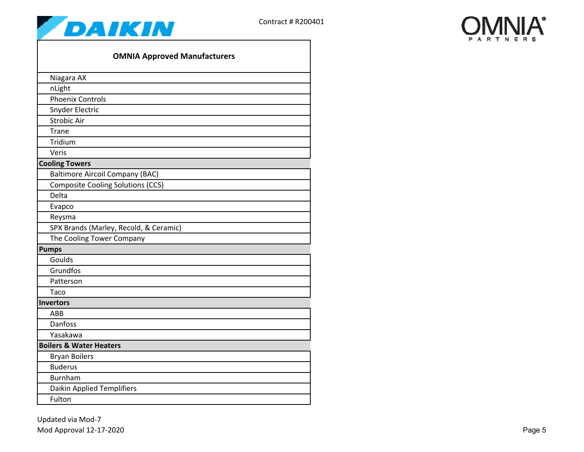



| <b>OMNIA Approved Manufacturers</b>      |
|------------------------------------------|
| Niagara AX                               |
| nLight                                   |
| <b>Phoenix Controls</b>                  |
| Snyder Electric                          |
| <b>Strobic Air</b>                       |
| Trane                                    |
| Tridium                                  |
| Veris                                    |
| <b>Cooling Towers</b>                    |
| <b>Baltimore Aircoil Company (BAC)</b>   |
| <b>Composite Cooling Solutions (CCS)</b> |
| Delta                                    |
| Evapco                                   |
| Reysma                                   |
| SPX Brands (Marley, Recold, & Ceramic)   |
| The Cooling Tower Company                |
| <b>Pumps</b>                             |
| Goulds                                   |
| Grundfos                                 |
| Patterson                                |
| Taco                                     |
| <b>Invertors</b>                         |
| <b>ABB</b>                               |
| Danfoss                                  |
| Yasakawa                                 |
| <b>Boilers &amp; Water Heaters</b>       |
| <b>Bryan Boilers</b>                     |
| <b>Buderus</b>                           |
| <b>Burnham</b>                           |
| <b>Daikin Applied Templifiers</b>        |
| Fulton                                   |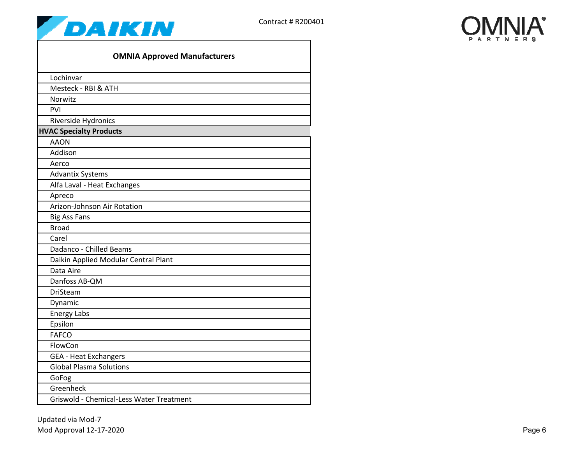



| <b>OMNIA Approved Manufacturers</b>      |  |
|------------------------------------------|--|
| Lochinvar                                |  |
| Mesteck - RBI & ATH                      |  |
| Norwitz                                  |  |
| PVI                                      |  |
| Riverside Hydronics                      |  |
| <b>HVAC Specialty Products</b>           |  |
| <b>AAON</b>                              |  |
| Addison                                  |  |
| Aerco                                    |  |
| <b>Advantix Systems</b>                  |  |
| Alfa Laval - Heat Exchanges              |  |
| Apreco                                   |  |
| Arizon-Johnson Air Rotation              |  |
| <b>Big Ass Fans</b>                      |  |
| <b>Broad</b>                             |  |
| Carel                                    |  |
| Dadanco - Chilled Beams                  |  |
| Daikin Applied Modular Central Plant     |  |
| Data Aire                                |  |
| Danfoss AB-QM                            |  |
| <b>DriSteam</b>                          |  |
| Dynamic                                  |  |
| <b>Energy Labs</b>                       |  |
| Epsilon                                  |  |
| <b>FAFCO</b>                             |  |
| FlowCon                                  |  |
| <b>GEA - Heat Exchangers</b>             |  |
| <b>Global Plasma Solutions</b>           |  |
| GoFog                                    |  |
| Greenheck                                |  |
| Griswold - Chemical-Less Water Treatment |  |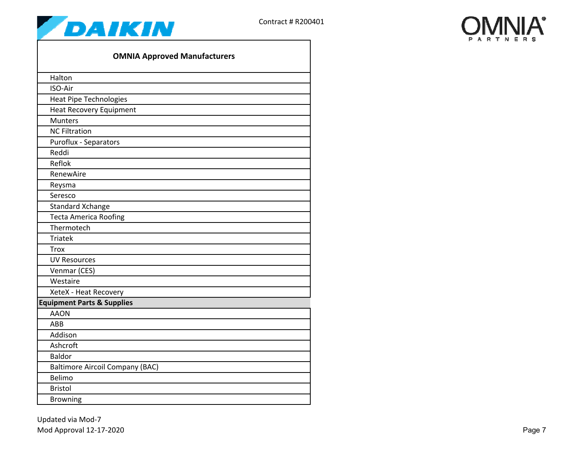



| <b>OMNIA Approved Manufacturers</b>    |
|----------------------------------------|
| Halton                                 |
| ISO-Air                                |
| <b>Heat Pipe Technologies</b>          |
| <b>Heat Recovery Equipment</b>         |
| <b>Munters</b>                         |
| <b>NC Filtration</b>                   |
| <b>Puroflux - Separators</b>           |
| Reddi                                  |
| Reflok                                 |
| RenewAire                              |
| Reysma                                 |
| Seresco                                |
| <b>Standard Xchange</b>                |
| <b>Tecta America Roofing</b>           |
| Thermotech                             |
| <b>Triatek</b>                         |
| <b>Trox</b>                            |
| <b>UV Resources</b>                    |
| Venmar (CES)                           |
| Westaire                               |
| XeteX - Heat Recovery                  |
| <b>Equipment Parts &amp; Supplies</b>  |
| <b>AAON</b>                            |
| ABB                                    |
| Addison                                |
| Ashcroft                               |
| <b>Baldor</b>                          |
| <b>Baltimore Aircoil Company (BAC)</b> |
| Belimo                                 |
| <b>Bristol</b>                         |
| <b>Browning</b>                        |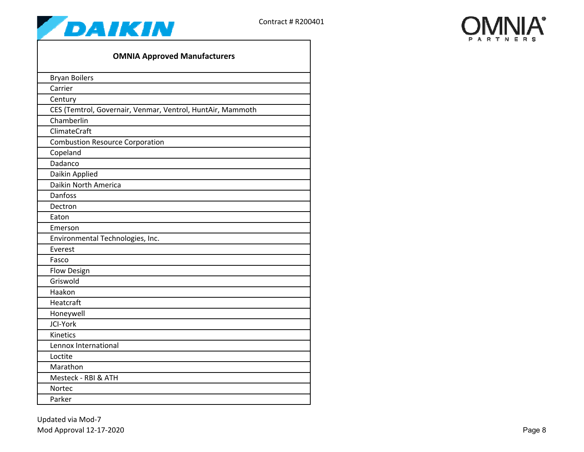



| <b>OMNIA Approved Manufacturers</b>                        |  |  |
|------------------------------------------------------------|--|--|
| <b>Bryan Boilers</b>                                       |  |  |
| Carrier                                                    |  |  |
| Century                                                    |  |  |
| CES (Temtrol, Governair, Venmar, Ventrol, HuntAir, Mammoth |  |  |
| Chamberlin                                                 |  |  |
| ClimateCraft                                               |  |  |
| <b>Combustion Resource Corporation</b>                     |  |  |
| Copeland                                                   |  |  |
| Dadanco                                                    |  |  |
| Daikin Applied                                             |  |  |
| Daikin North America                                       |  |  |
| Danfoss                                                    |  |  |
| Dectron                                                    |  |  |
| Eaton                                                      |  |  |
| Emerson                                                    |  |  |
| Environmental Technologies, Inc.                           |  |  |
| Everest                                                    |  |  |
| Fasco                                                      |  |  |
| <b>Flow Design</b>                                         |  |  |
| Griswold                                                   |  |  |
| Haakon                                                     |  |  |
| Heatcraft                                                  |  |  |
| Honeywell                                                  |  |  |
| JCI-York                                                   |  |  |
| Kinetics                                                   |  |  |
| Lennox International                                       |  |  |
| Loctite                                                    |  |  |
| Marathon                                                   |  |  |
| Mesteck - RBI & ATH                                        |  |  |
| <b>Nortec</b>                                              |  |  |
| Parker                                                     |  |  |